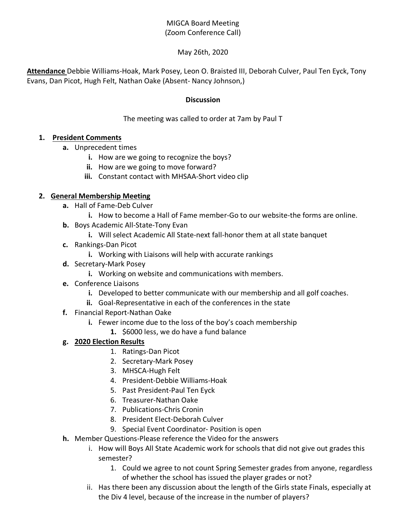# MIGCA Board Meeting (Zoom Conference Call)

### May 26th, 2020

**Attendance** Debbie Williams-Hoak, Mark Posey, Leon O. Braisted III, Deborah Culver, Paul Ten Eyck, Tony Evans, Dan Picot, Hugh Felt, Nathan Oake (Absent- Nancy Johnson,)

#### **Discussion**

### The meeting was called to order at 7am by Paul T

#### **1. President Comments**

- **a.** Unprecedent times
	- **i.** How are we going to recognize the boys?
	- **ii.** How are we going to move forward?
	- **iii.** Constant contact with MHSAA-Short video clip

#### **2. General Membership Meeting**

- **a.** Hall of Fame-Deb Culver
	- **i.** How to become a Hall of Fame member-Go to our website-the forms are online.
- **b.** Boys Academic All-State-Tony Evan
	- **i.** Will select Academic All State-next fall-honor them at all state banquet
- **c.** Rankings-Dan Picot
	- **i.** Working with Liaisons will help with accurate rankings
- **d.** Secretary-Mark Posey
	- **i.** Working on website and communications with members.
- **e.** Conference Liaisons
	- **i.** Developed to better communicate with our membership and all golf coaches.
	- **ii.** Goal-Representative in each of the conferences in the state
- **f.** Financial Report-Nathan Oake
	- **i.** Fewer income due to the loss of the boy's coach membership
		- **1.** \$6000 less, we do have a fund balance

## **g. 2020 Election Results**

- 1. Ratings-Dan Picot
- 2. Secretary-Mark Posey
- 3. MHSCA-Hugh Felt
- 4. President-Debbie Williams-Hoak
- 5. Past President-Paul Ten Eyck
- 6. Treasurer-Nathan Oake
- 7. Publications-Chris Cronin
- 8. President Elect-Deborah Culver
- 9. Special Event Coordinator- Position is open
- **h.** Member Questions-Please reference the Video for the answers
	- i. How will Boys All State Academic work for schools that did not give out grades this semester?
		- 1. Could we agree to not count Spring Semester grades from anyone, regardless of whether the school has issued the player grades or not?
	- ii. Has there been any discussion about the length of the Girls state Finals, especially at the Div 4 level, because of the increase in the number of players?